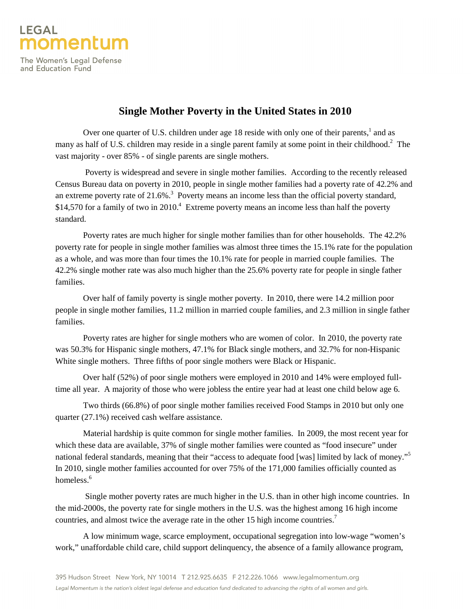

The Women's Legal Defense and Education Fund

## **Single Mother Poverty in the United States in 2010**

Over one quarter of U.S. children under age 18 reside with only one of their parents, $<sup>1</sup>$  and as</sup> many as half of U.S. children may reside in a single parent family at some point in their childhood.<sup>2</sup> The vast majority - over 85% - of single parents are single mothers.

 Poverty is widespread and severe in single mother families. According to the recently released Census Bureau data on poverty in 2010, people in single mother families had a poverty rate of 42.2% and an extreme poverty rate of  $21.6\%$ <sup>3</sup> Poverty means an income less than the official poverty standard, \$14,570 for a family of two in 2010.<sup>4</sup> Extreme poverty means an income less than half the poverty standard.

 Poverty rates are much higher for single mother families than for other households. The 42.2% poverty rate for people in single mother families was almost three times the 15.1% rate for the population as a whole, and was more than four times the 10.1% rate for people in married couple families. The 42.2% single mother rate was also much higher than the 25.6% poverty rate for people in single father families.

 Over half of family poverty is single mother poverty. In 2010, there were 14.2 million poor people in single mother families, 11.2 million in married couple families, and 2.3 million in single father families.

 Poverty rates are higher for single mothers who are women of color. In 2010, the poverty rate was 50.3% for Hispanic single mothers, 47.1% for Black single mothers, and 32.7% for non-Hispanic White single mothers. Three fifths of poor single mothers were Black or Hispanic.

 Over half (52%) of poor single mothers were employed in 2010 and 14% were employed fulltime all year. A majority of those who were jobless the entire year had at least one child below age 6.

 Two thirds (66.8%) of poor single mother families received Food Stamps in 2010 but only one quarter (27.1%) received cash welfare assistance.

 Material hardship is quite common for single mother families. In 2009, the most recent year for which these data are available, 37% of single mother families were counted as "food insecure" under national federal standards, meaning that their "access to adequate food [was] limited by lack of money."<sup>5</sup> In 2010, single mother families accounted for over 75% of the 171,000 families officially counted as homeless.<sup>6</sup>

 Single mother poverty rates are much higher in the U.S. than in other high income countries. In the mid-2000s, the poverty rate for single mothers in the U.S. was the highest among 16 high income countries, and almost twice the average rate in the other 15 high income countries.<sup>7</sup>

 A low minimum wage, scarce employment, occupational segregation into low-wage "women's work," unaffordable child care, child support delinquency, the absence of a family allowance program,